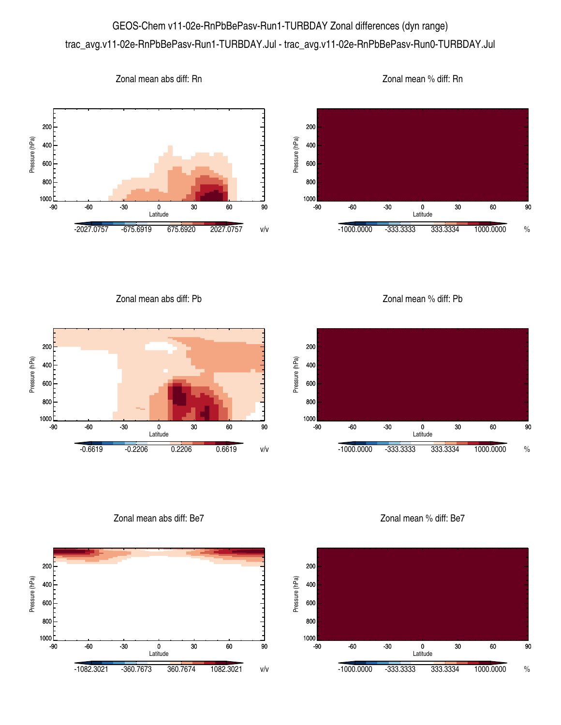## GEOS-Chem v11-02e-RnPbBePasv-Run1-TURBDAY Zonal differences (dyn range) trac\_avg.v11-02e-RnPbBePasv-Run1-TURBDAY.Jul - trac\_avg.v11-02e-RnPbBePasv-Run0-TURBDAY.Jul



Zonal mean abs diff: Pb



Zonal mean % diff: Pb



Zonal mean abs diff: Be7



Zonal mean % diff: Be7